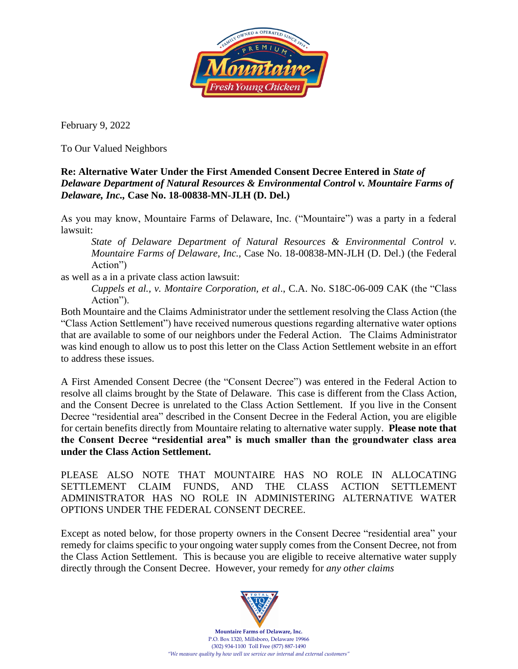

February 9, 2022

To Our Valued Neighbors

## **Re: Alternative Water Under the First Amended Consent Decree Entered in** *State of Delaware Department of Natural Resources & Environmental Control v. Mountaire Farms of Delaware, Inc.,* **Case No. 18-00838-MN-JLH (D. Del.)**

As you may know, Mountaire Farms of Delaware, Inc. ("Mountaire") was a party in a federal lawsuit:

*State of Delaware Department of Natural Resources & Environmental Control v. Mountaire Farms of Delaware, Inc.,* Case No. 18-00838-MN-JLH (D. Del.) (the Federal Action")

as well as a in a private class action lawsuit:

*Cuppels et al., v. Montaire Corporation, et al*., C.A. No. S18C-06-009 CAK (the "Class Action").

Both Mountaire and the Claims Administrator under the settlement resolving the Class Action (the "Class Action Settlement") have received numerous questions regarding alternative water options that are available to some of our neighbors under the Federal Action. The Claims Administrator was kind enough to allow us to post this letter on the Class Action Settlement website in an effort to address these issues.

A First Amended Consent Decree (the "Consent Decree") was entered in the Federal Action to resolve all claims brought by the State of Delaware. This case is different from the Class Action, and the Consent Decree is unrelated to the Class Action Settlement. If you live in the Consent Decree "residential area" described in the Consent Decree in the Federal Action, you are eligible for certain benefits directly from Mountaire relating to alternative water supply. **Please note that the Consent Decree "residential area" is much smaller than the groundwater class area under the Class Action Settlement.**

PLEASE ALSO NOTE THAT MOUNTAIRE HAS NO ROLE IN ALLOCATING SETTLEMENT CLAIM FUNDS, AND THE CLASS ACTION SETTLEMENT ADMINISTRATOR HAS NO ROLE IN ADMINISTERING ALTERNATIVE WATER OPTIONS UNDER THE FEDERAL CONSENT DECREE.

Except as noted below, for those property owners in the Consent Decree "residential area" your remedy for claims specific to your ongoing water supply comes from the Consent Decree, not from the Class Action Settlement. This is because you are eligible to receive alternative water supply directly through the Consent Decree. However, your remedy for *any other claims*



**Mountaire Farms of Delaware, Inc.** P.O. Box 1320, Millsboro, Delaware 19966 (302) 934-1100 Toll Free (877) 887-1490 *"We measure quality by how well we service our internal and external customers"*